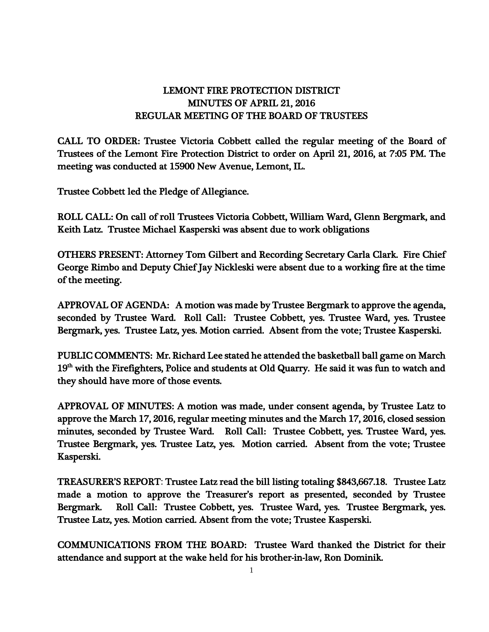## LEMONT FIRE PROTECTION DISTRICT MINUTES OF APRIL 21, 2016 REGULAR MEETING OF THE BOARD OF TRUSTEES

CALL TO ORDER: Trustee Victoria Cobbett called the regular meeting of the Board of Trustees of the Lemont Fire Protection District to order on April 21, 2016, at 7:05 PM. The meeting was conducted at 15900 New Avenue, Lemont, IL.

Trustee Cobbett led the Pledge of Allegiance.

ROLL CALL: On call of roll Trustees Victoria Cobbett, William Ward, Glenn Bergmark, and Keith Latz. Trustee Michael Kasperski was absent due to work obligations

OTHERS PRESENT: Attorney Tom Gilbert and Recording Secretary Carla Clark. Fire Chief George Rimbo and Deputy Chief Jay Nickleski were absent due to a working fire at the time of the meeting.

APPROVAL OF AGENDA: A motion was made by Trustee Bergmark to approve the agenda, seconded by Trustee Ward. Roll Call: Trustee Cobbett, yes. Trustee Ward, yes. Trustee Bergmark, yes. Trustee Latz, yes. Motion carried. Absent from the vote; Trustee Kasperski.

PUBLIC COMMENTS: Mr. Richard Lee stated he attended the basketball ball game on March  $19<sup>th</sup>$  with the Firefighters, Police and students at Old Quarry. He said it was fun to watch and they should have more of those events.

APPROVAL OF MINUTES: A motion was made, under consent agenda, by Trustee Latz to approve the March 17, 2016, regular meeting minutes and the March 17, 2016, closed session minutes, seconded by Trustee Ward. Roll Call: Trustee Cobbett, yes. Trustee Ward, yes. Trustee Bergmark, yes. Trustee Latz, yes. Motion carried. Absent from the vote; Trustee Kasperski.

TREASURER'S REPORT: Trustee Latz read the bill listing totaling \$843,667.18. Trustee Latz made a motion to approve the Treasurer's report as presented, seconded by Trustee Bergmark. Roll Call: Trustee Cobbett, yes. Trustee Ward, yes. Trustee Bergmark, yes. Trustee Latz, yes. Motion carried. Absent from the vote; Trustee Kasperski.

COMMUNICATIONS FROM THE BOARD: Trustee Ward thanked the District for their attendance and support at the wake held for his brother-in-law, Ron Dominik.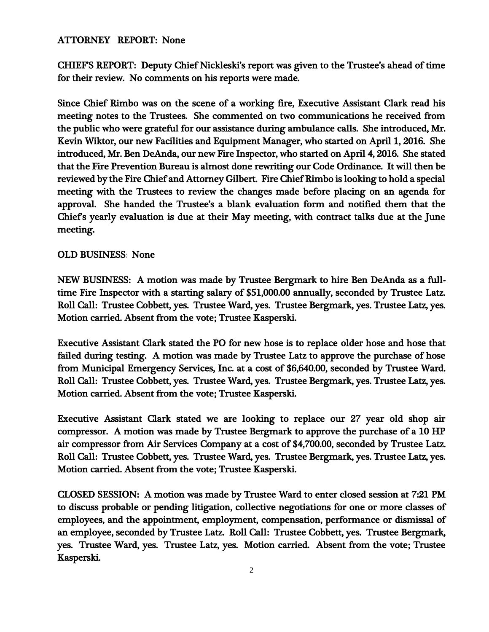## ATTORNEY REPORT: None

CHIEF'S REPORT: Deputy Chief Nickleski's report was given to the Trustee's ahead of time for their review. No comments on his reports were made.

Since Chief Rimbo was on the scene of a working fire, Executive Assistant Clark read his meeting notes to the Trustees. She commented on two communications he received from the public who were grateful for our assistance during ambulance calls. She introduced, Mr. Kevin Wiktor, our new Facilities and Equipment Manager, who started on April 1, 2016. She introduced, Mr. Ben DeAnda, our new Fire Inspector, who started on April 4, 2016. She stated that the Fire Prevention Bureau is almost done rewriting our Code Ordinance. It will then be reviewed by the Fire Chief and Attorney Gilbert. Fire Chief Rimbo is looking to hold a special meeting with the Trustees to review the changes made before placing on an agenda for approval. She handed the Trustee's a blank evaluation form and notified them that the Chief's yearly evaluation is due at their May meeting, with contract talks due at the June meeting.

## OLD BUSINESS: None

NEW BUSINESS: A motion was made by Trustee Bergmark to hire Ben DeAnda as a fulltime Fire Inspector with a starting salary of \$51,000.00 annually, seconded by Trustee Latz. Roll Call: Trustee Cobbett, yes. Trustee Ward, yes. Trustee Bergmark, yes. Trustee Latz, yes. Motion carried. Absent from the vote; Trustee Kasperski.

Executive Assistant Clark stated the PO for new hose is to replace older hose and hose that failed during testing. A motion was made by Trustee Latz to approve the purchase of hose from Municipal Emergency Services, Inc. at a cost of \$6,640.00, seconded by Trustee Ward. Roll Call: Trustee Cobbett, yes. Trustee Ward, yes. Trustee Bergmark, yes. Trustee Latz, yes. Motion carried. Absent from the vote; Trustee Kasperski.

Executive Assistant Clark stated we are looking to replace our 27 year old shop air compressor. A motion was made by Trustee Bergmark to approve the purchase of a 10 HP air compressor from Air Services Company at a cost of \$4,700.00, seconded by Trustee Latz. Roll Call: Trustee Cobbett, yes. Trustee Ward, yes. Trustee Bergmark, yes. Trustee Latz, yes. Motion carried. Absent from the vote; Trustee Kasperski.

CLOSED SESSION: A motion was made by Trustee Ward to enter closed session at 7:21 PM to discuss probable or pending litigation, collective negotiations for one or more classes of employees, and the appointment, employment, compensation, performance or dismissal of an employee, seconded by Trustee Latz. Roll Call: Trustee Cobbett, yes. Trustee Bergmark, yes. Trustee Ward, yes. Trustee Latz, yes. Motion carried. Absent from the vote; Trustee Kasperski.